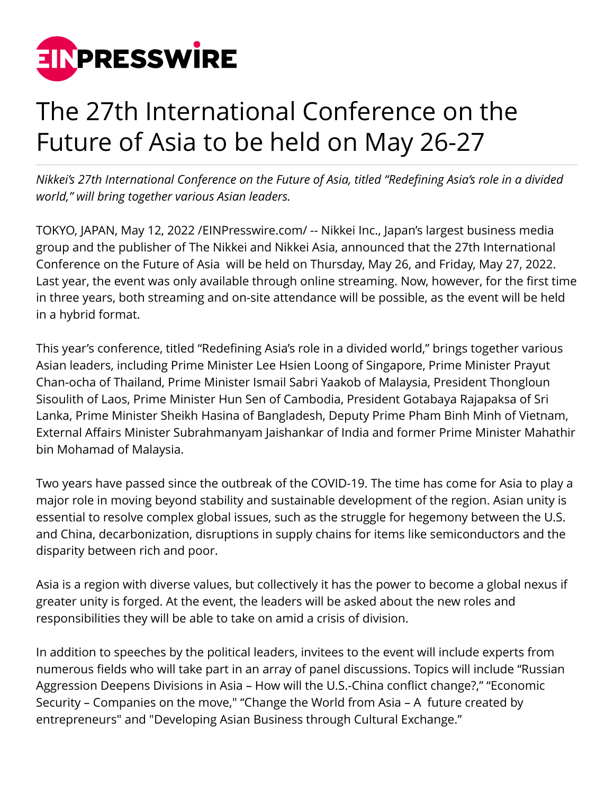

## The 27th International Conference on the Future of Asia to be held on May 26-27

*Nikkei's 27th International Conference on the Future of Asia, titled "Redefining Asia's role in a divided world," will bring together various Asian leaders.*

TOKYO, JAPAN, May 12, 2022 /[EINPresswire.com](http://www.einpresswire.com)/ -- Nikkei Inc., Japan's largest business media group and the publisher of The Nikkei and Nikkei Asia, announced that the 27th International Conference on the Future of Asia will be held on Thursday, May 26, and Friday, May 27, 2022. Last year, the event was only available through online streaming. Now, however, for the first time in three years, both streaming and on-site attendance will be possible, as the event will be held in a hybrid format.

This year's conference, titled "Redefining Asia's role in a divided world," brings together various Asian leaders, including Prime Minister Lee Hsien Loong of Singapore, Prime Minister Prayut Chan-ocha of Thailand, Prime Minister Ismail Sabri Yaakob of Malaysia, President Thongloun Sisoulith of Laos, Prime Minister Hun Sen of Cambodia, President Gotabaya Rajapaksa of Sri Lanka, Prime Minister Sheikh Hasina of Bangladesh, Deputy Prime Pham Binh Minh of Vietnam, External Affairs Minister Subrahmanyam Jaishankar of India and former Prime Minister Mahathir bin Mohamad of Malaysia.

Two years have passed since the outbreak of the COVID-19. The time has come for Asia to play a major role in moving beyond stability and sustainable development of the region. Asian unity is essential to resolve complex global issues, such as the struggle for hegemony between the U.S. and China, decarbonization, disruptions in supply chains for items like semiconductors and the disparity between rich and poor.

Asia is a region with diverse values, but collectively it has the power to become a global nexus if greater unity is forged. At the event, the leaders will be asked about the new roles and responsibilities they will be able to take on amid a crisis of division.

In addition to speeches by the political leaders, invitees to the event will include experts from numerous fields who will take part in an array of panel discussions. Topics will include "Russian Aggression Deepens Divisions in Asia – How will the U.S.-China conflict change?," "Economic Security – Companies on the move," "Change the World from Asia – A future created by entrepreneurs" and "Developing Asian Business through Cultural Exchange."